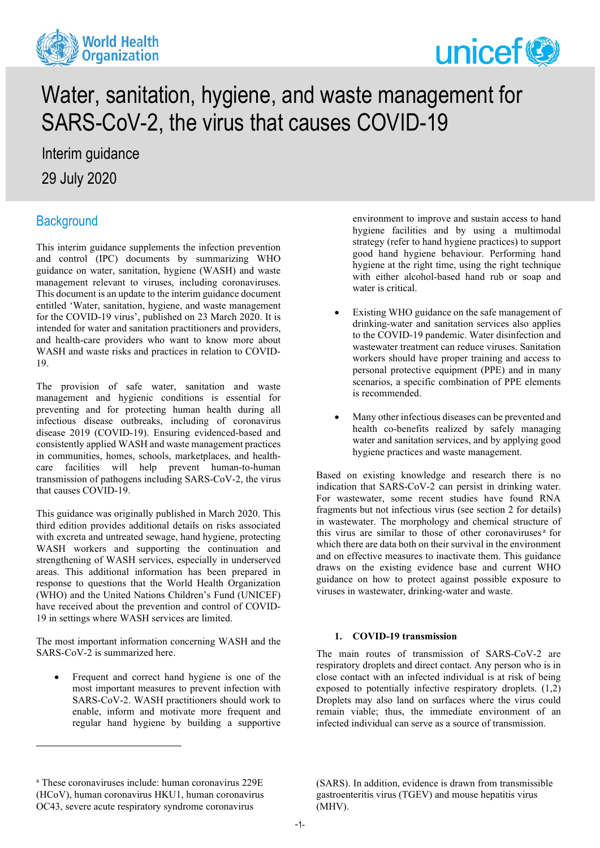



# Water, sanitation, hygiene, and waste management for SARS-CoV-2, the virus that causes COVID-19

Interim guidance 29 July 2020

# **Background**

This interim guidance supplements the infection prevention and control (IPC) documents by summarizing WHO guidance on water, sanitation, hygiene (WASH) and waste management relevant to viruses, including coronaviruses. This document is an update to the interim guidance document entitled 'Water, sanitation, hygiene, and waste management for the COVID-19 virus', published on 23 March 2020. It is intended for water and sanitation practitioners and providers, and health-care providers who want to know more about WASH and waste risks and practices in relation to COVID-19.

The provision of safe water, sanitation and waste management and hygienic conditions is essential for preventing and for protecting human health during all infectious disease outbreaks, including of coronavirus disease 2019 (COVID-19). Ensuring evidenced-based and consistently applied WASH and waste management practices in communities, homes, schools, marketplaces, and healthcare facilities will help prevent human-to-human transmission of pathogens including SARS-CoV-2, the virus that causes COVID-19.

This guidance was originally published in March 2020. This third edition provides additional details on risks associated with excreta and untreated sewage, hand hygiene, protecting WASH workers and supporting the continuation and strengthening of WASH services, especially in underserved areas. This additional information has been prepared in response to questions that the World Health Organization (WHO) and the United Nations Children's Fund (UNICEF) have received about the prevention and control of COVID-19 in settings where WASH services are limited.

The most important information concerning WASH and the SARS-CoV-2 is summarized here.

Frequent and correct hand hygiene is one of the most important measures to prevent infection with SARS-CoV-2. WASH practitioners should work to enable, inform and motivate more frequent and regular hand hygiene by building a supportive

environment to improve and sustain access to hand hygiene facilities and by using a multimodal strategy (refer to hand hygiene practices) to support good hand hygiene behaviour. Performing hand hygiene at the right time, using the right technique with either alcohol-based hand rub or soap and water is critical.

- Existing WHO guidance on the safe management of drinking-water and sanitation services also applies to the COVID-19 pandemic. Water disinfection and wastewater treatment can reduce viruses. Sanitation workers should have proper training and access to personal protective equipment (PPE) and in many scenarios, a specific combination of PPE elements is recommended.
- Many other infectious diseases can be prevented and health co-benefits realized by safely managing water and sanitation services, and by applying good hygiene practices and waste management.

Based on existing knowledge and research there is no indication that SARS-CoV-2 can persist in drinking water. For wastewater, some recent studies have found RNA fragments but not infectious virus (see section 2 for details) in wastewater. The morphology and chemical structure of this virus [a](#page-0-0)re similar to those of other coronaviruses<sup>a</sup> for which there are data both on their survival in the environment and on effective measures to inactivate them. This guidance draws on the existing evidence base and current WHO guidance on how to protect against possible exposure to viruses in wastewater, drinking-water and waste.

#### **1. COVID-19 transmission**

The main routes of transmission of SARS-CoV-2 are respiratory droplets and direct contact. Any person who is in close contact with an infected individual is at risk of being exposed to potentially infective respiratory droplets. (1,2) Droplets may also land on surfaces where the virus could remain viable; thus, the immediate environment of an infected individual can serve as a source of transmission.

(SARS). In addition, evidence is drawn from transmissible gastroenteritis virus (TGEV) and mouse hepatitis virus (MHV).

<span id="page-0-0"></span><sup>a</sup> These coronaviruses include: human coronavirus 229E (HCoV), human coronavirus HKU1, human coronavirus OC43, severe acute respiratory syndrome coronavirus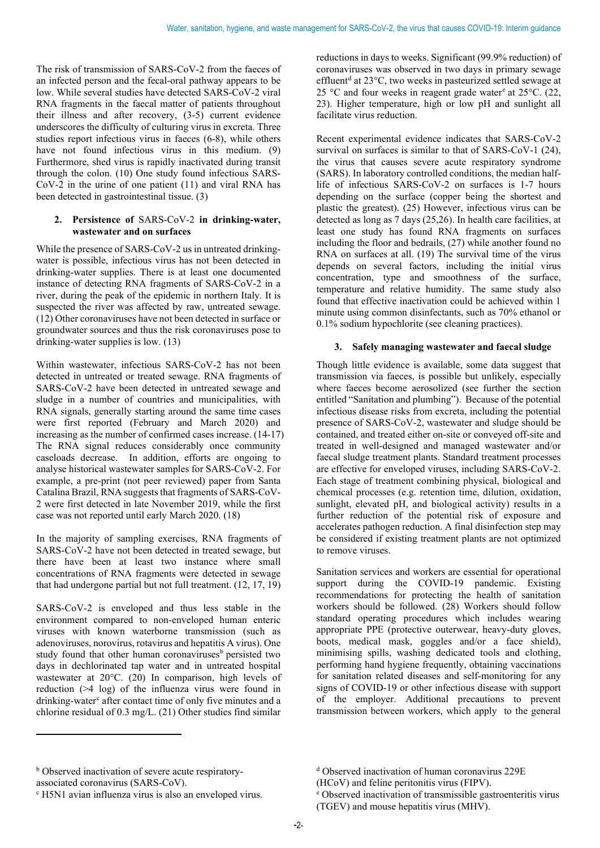The risk of transmission of SARS-CoV-2 from the faeces of an infected person and the fecal-oral pathway appears to be low. While several studies have detected SARS-CoV-2 viral RNA fragments in the faecal matter of patients throughout their illness and after recovery, (3-5) current evidence underscores the difficulty of culturing virus in excreta. Three studies report infectious virus in faeces (6-8), while others have not found infectious virus in this medium. (9) Furthermore, shed virus is rapidly inactivated during transit through the colon. (10) One study found infectious SARS-CoV-2 in the urine of one patient (11) and viral RNA has been detected in gastrointestinal tissue. (3)

## **2. Persistence of** SARS-CoV-2 **in drinking-water, wastewater and on surfaces**

While the presence of SARS-CoV-2 us in untreated drinkingwater is possible, infectious virus has not been detected in drinking-water supplies. There is at least one documented instance of detecting RNA fragments of SARS-CoV-2 in a river, during the peak of the epidemic in northern Italy. It is suspected the river was affected by raw, untreated sewage. (12) Other coronaviruses have not been detected in surface or groundwater sources and thus the risk coronaviruses pose to drinking-water supplies is low. (13)

Within wastewater, infectious SARS-CoV-2 has not been detected in untreated or treated sewage. RNA fragments of SARS-CoV-2 have been detected in untreated sewage and sludge in a number of countries and municipalities, with RNA signals, generally starting around the same time cases were first reported (February and March 2020) and increasing as the number of confirmed cases increase. (14-17) The RNA signal reduces considerably once community caseloads decrease. In addition, efforts are ongoing to analyse historical wastewater samples for SARS-CoV-2. For example, a pre-print (not peer reviewed) paper from Santa Catalina Brazil, RNA suggests that fragments of SARS-CoV-2 were first detected in late November 2019, while the first case was not reported until early March 2020. (18)

In the majority of sampling exercises, RNA fragments of SARS-CoV-2 have not been detected in treated sewage, but there have been at least two instance where small concentrations of RNA fragments were detected in sewage that had undergone partial but not full treatment. (12, 17, 19)

SARS-CoV-2 is enveloped and thus less stable in the environment compared to non-enveloped human enteric viruses with known waterborne transmission (such as adenoviruses, norovirus, rotavirus and hepatitis A virus). One study found that other human coronaviruses<sup>[b](#page-1-0)</sup> persisted two days in dechlorinated tap water and in untreated hospital wastewater at 20°C. (20) In comparison, high levels of reduction (>4 log) of the influenza virus were found in drinking-water<sup>[c](#page-1-1)</sup> after contact time of only five minutes and a chlorine residual of 0.3 mg/L. (21) Other studies find similar

reductions in days to weeks. Significant (99.9% reduction) of coronaviruses was observed in two days in primary sewage effluent<sup>[d](#page-1-0)</sup> at 23°C, two weeks in pasteurized settled sewage at 25 °C and four w[e](#page-1-1)eks in reagent grade water at  $25$  °C. (22, 23). Higher temperature, high or low pH and sunlight all facilitate virus reduction.

Recent experimental evidence indicates that SARS-CoV-2 survival on surfaces is similar to that of SARS-CoV-1 (24), the virus that causes severe acute respiratory syndrome (SARS). In laboratory controlled conditions, the median halflife of infectious SARS-CoV-2 on surfaces is 1-7 hours depending on the surface (copper being the shortest and plastic the greatest). (25) However, infectious virus can be detected as long as 7 days (25,26). In health care facilities, at least one study has found RNA fragments on surfaces including the floor and bedrails, (27) while another found no RNA on surfaces at all. (19) The survival time of the virus depends on several factors, including the initial virus concentration, type and smoothness of the surface, temperature and relative humidity. The same study also found that effective inactivation could be achieved within 1 minute using common disinfectants, such as 70% ethanol or 0.1% sodium hypochlorite (see cleaning practices).

#### **3. Safely managing wastewater and faecal sludge**

Though little evidence is available, some data suggest that transmission via faeces, is possible but unlikely, especially where faeces become aerosolized (see further the section entitled "Sanitation and plumbing"). Because of the potential infectious disease risks from excreta, including the potential presence of SARS-CoV-2, wastewater and sludge should be contained, and treated either on-site or conveyed off-site and treated in well-designed and managed wastewater and/or faecal sludge treatment plants. Standard treatment processes are effective for enveloped viruses, including SARS-CoV-2. Each stage of treatment combining physical, biological and chemical processes (e.g. retention time, dilution, oxidation, sunlight, elevated pH, and biological activity) results in a further reduction of the potential risk of exposure and accelerates pathogen reduction. A final disinfection step may be considered if existing treatment plants are not optimized to remove viruses.

Sanitation services and workers are essential for operational support during the COVID-19 pandemic. Existing recommendations for protecting the health of sanitation workers should be followed. (28) Workers should follow standard operating procedures which includes wearing appropriate PPE (protective outerwear, heavy-duty gloves, boots, medical mask, goggles and/or a face shield), minimising spills, washing dedicated tools and clothing, performing hand hygiene frequently, obtaining vaccinations for sanitation related diseases and self-monitoring for any signs of COVID-19 or other infectious disease with support of the employer. Additional precautions to prevent transmission between workers, which apply to the general

<span id="page-1-0"></span>**b** Observed inactivation of severe acute respiratory-

<span id="page-1-1"></span>associated coronavirus (SARS-CoV).<br><sup>c</sup> H5N1 avian influenza virus is also an enveloped virus.

<sup>d</sup> Observed inactivation of human coronavirus 229E

<sup>(</sup>HCoV) and feline peritonitis virus (FIPV).

<sup>e</sup> Observed inactivation of transmissible gastroenteritis virus (TGEV) and mouse hepatitis virus (MHV).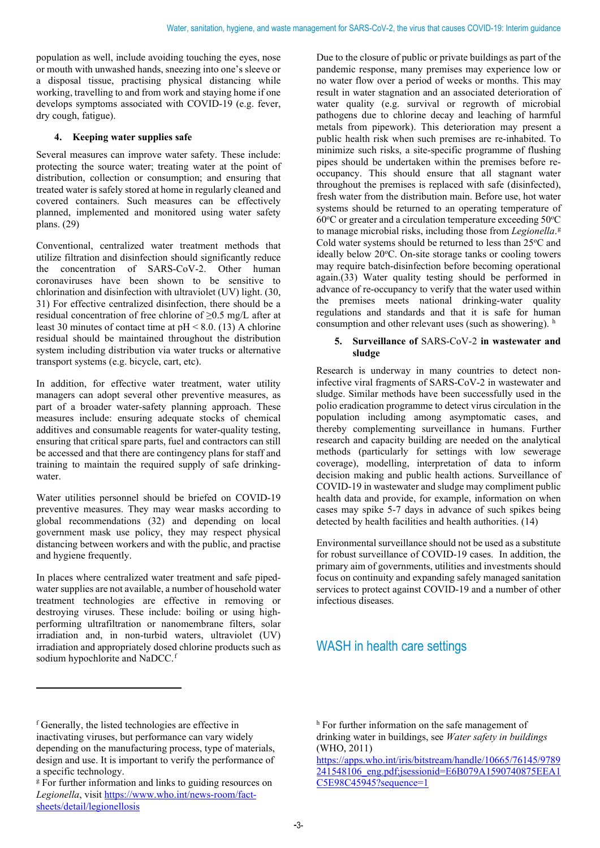population as well, include avoiding touching the eyes, nose or mouth with unwashed hands, sneezing into one's sleeve or a disposal tissue, practising physical distancing while working, travelling to and from work and staying home if one develops symptoms associated with COVID-19 (e.g. fever, dry cough, fatigue).

## **4. Keeping water supplies safe**

Several measures can improve water safety. These include: protecting the source water; treating water at the point of distribution, collection or consumption; and ensuring that treated water is safely stored at home in regularly cleaned and covered containers. Such measures can be effectively planned, implemented and monitored using water safety plans. (29)

Conventional, centralized water treatment methods that utilize filtration and disinfection should significantly reduce the concentration of SARS-CoV-2. Other human coronaviruses have been shown to be sensitive to chlorination and disinfection with ultraviolet (UV) light. (30, 31) For effective centralized disinfection, there should be a residual concentration of free chlorine of ≥0.5 mg/L after at least 30 minutes of contact time at  $pH < 8.0$ . (13) A chlorine residual should be maintained throughout the distribution system including distribution via water trucks or alternative transport systems (e.g. bicycle, cart, etc).

In addition, for effective water treatment, water utility managers can adopt several other preventive measures, as part of a broader water-safety planning approach. These measures include: ensuring adequate stocks of chemical additives and consumable reagents for water-quality testing, ensuring that critical spare parts, fuel and contractors can still be accessed and that there are contingency plans for staff and training to maintain the required supply of safe drinkingwater.

Water utilities personnel should be briefed on COVID-19 preventive measures. They may wear masks according to global recommendations (32) and depending on local government mask use policy, they may respect physical distancing between workers and with the public, and practise and hygiene frequently.

In places where centralized water treatment and safe pipedwater supplies are not available, a number of household water treatment technologies are effective in removing or destroying viruses. These include: boiling or using highperforming ultrafiltration or nanomembrane filters, solar irradiation and, in non-turbid waters, ultraviolet (UV) irradiation and appropriately dosed chlorine products such as sodium hypochlorite and NaDCC.<sup>[f](#page-2-0)</sup>

Due to the closure of public or private buildings as part of the pandemic response, many premises may experience low or no water flow over a period of weeks or months. This may result in water stagnation and an associated deterioration of water quality (e.g. survival or regrowth of microbial pathogens due to chlorine decay and leaching of harmful metals from pipework). This deterioration may present a public health risk when such premises are re-inhabited. To minimize such risks, a site-specific programme of flushing pipes should be undertaken within the premises before reoccupancy. This should ensure that all stagnant water throughout the premises is replaced with safe (disinfected), fresh water from the distribution main. Before use, hot water systems should be returned to an operating temperature of  $60^{\circ}$ C or greater and a circulation temperature exceeding  $50^{\circ}$ C to manage microbial risks, including those from *Legionella*. [g](#page-2-1) Cold water systems should be returned to less than  $25^{\circ}$ C and ideally below 20°C. On-site storage tanks or cooling towers may require batch-disinfection before becoming operational again.(33) Water quality testing should be performed in advance of re-occupancy to verify that the water used within the premises meets national drinking-water quality regulations and standards and that it is safe for human consumption and ot[h](#page-2-0)er relevant uses (such as showering). h

#### **5. Surveillance of** SARS-CoV-2 **in wastewater and sludge**

Research is underway in many countries to detect noninfective viral fragments of SARS-CoV-2 in wastewater and sludge. Similar methods have been successfully used in the polio eradication programme to detect virus circulation in the population including among asymptomatic cases, and thereby complementing surveillance in humans. Further research and capacity building are needed on the analytical methods (particularly for settings with low sewerage coverage), modelling, interpretation of data to inform decision making and public health actions. Surveillance of COVID-19 in wastewater and sludge may compliment public health data and provide, for example, information on when cases may spike 5-7 days in advance of such spikes being detected by health facilities and health authorities. (14)

Environmental surveillance should not be used as a substitute for robust surveillance of COVID-19 cases. In addition, the primary aim of governments, utilities and investments should focus on continuity and expanding safely managed sanitation services to protect against COVID-19 and a number of other infectious diseases.

# WASH in health care settings

<span id="page-2-0"></span><sup>f</sup> Generally, the listed technologies are effective in inactivating viruses, but performance can vary widely depending on the manufacturing process, type of materials, design and use. It is important to verify the performance of a specific technology.

<span id="page-2-1"></span><sup>&</sup>lt;sup>g</sup> For further information and links to guiding resources on *Legionella*, visi[t https://www.who.int/news-room/fact](https://www.who.int/news-room/fact-sheets/detail/legionellosis)[sheets/detail/legionellosis](https://www.who.int/news-room/fact-sheets/detail/legionellosis)

h For further information on the safe management of drinking water in buildings, see *Water safety in buildings* (WHO, 2011)

[https://apps.who.int/iris/bitstream/handle/10665/76145/9789](https://apps.who.int/iris/bitstream/handle/10665/76145/9789241548106_eng.pdf;jsessionid=E6B079A1590740875EEA1C5E98C45945?sequence=1) [241548106\\_eng.pdf;jsessionid=E6B079A1590740875EEA1](https://apps.who.int/iris/bitstream/handle/10665/76145/9789241548106_eng.pdf;jsessionid=E6B079A1590740875EEA1C5E98C45945?sequence=1) [C5E98C45945?sequence=1](https://apps.who.int/iris/bitstream/handle/10665/76145/9789241548106_eng.pdf;jsessionid=E6B079A1590740875EEA1C5E98C45945?sequence=1)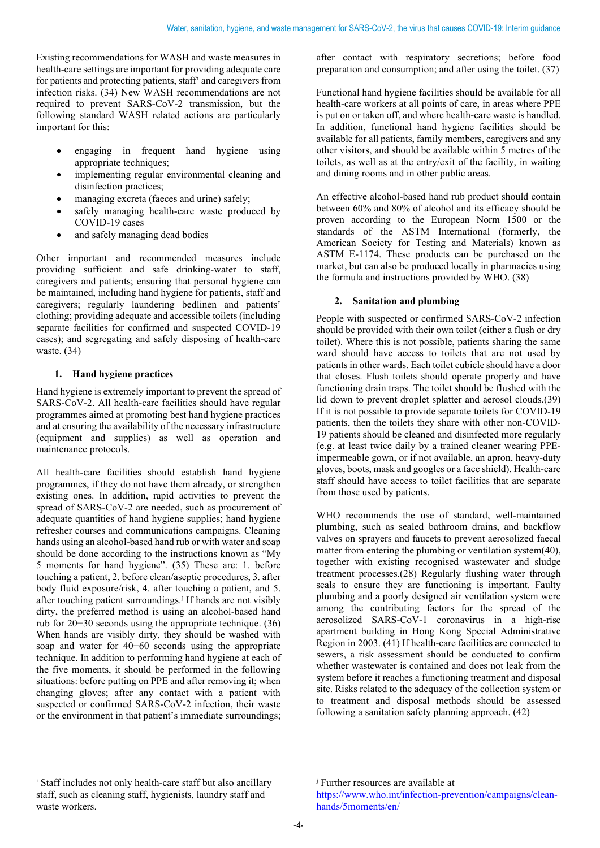Existing recommendations for WASH and waste measures in health-care settings are important for providing adequate care for patients and protecting patients, staff[i](#page-3-0) and caregivers from infection risks. (34) New WASH recommendations are not required to prevent SARS-CoV-2 transmission, but the following standard WASH related actions are particularly important for this:

- engaging in frequent hand hygiene using appropriate techniques;
- implementing regular environmental cleaning and disinfection practices;
- managing excreta (faeces and urine) safely;
- safely managing health-care waste produced by COVID-19 cases
- and safely managing dead bodies

Other important and recommended measures include providing sufficient and safe drinking-water to staff, caregivers and patients; ensuring that personal hygiene can be maintained, including hand hygiene for patients, staff and caregivers; regularly laundering bedlinen and patients' clothing; providing adequate and accessible toilets (including separate facilities for confirmed and suspected COVID-19 cases); and segregating and safely disposing of health-care waste. (34)

# **1. Hand hygiene practices**

Hand hygiene is extremely important to prevent the spread of SARS-CoV-2. All health-care facilities should have regular programmes aimed at promoting best hand hygiene practices and at ensuring the availability of the necessary infrastructure (equipment and supplies) as well as operation and maintenance protocols.

All health-care facilities should establish hand hygiene programmes, if they do not have them already, or strengthen existing ones. In addition, rapid activities to prevent the spread of SARS-CoV-2 are needed, such as procurement of adequate quantities of hand hygiene supplies; hand hygiene refresher courses and communications campaigns. Cleaning hands using an alcohol-based hand rub or with water and soap should be done according to the instructions known as "My 5 moments for hand hygiene". (35) These are: 1. before touching a patient, 2. before clean/aseptic procedures, 3. after body fluid exposure/risk, 4. after touching a patient, and 5. after touching patient surroundings.<sup>[j](#page-3-0)</sup> If hands are not visibly dirty, the preferred method is using an alcohol-based hand rub for 20−30 seconds using the appropriate technique. (36) When hands are visibly dirty, they should be washed with soap and water for 40−60 seconds using the appropriate technique. In addition to performing hand hygiene at each of the five moments, it should be performed in the following situations: before putting on PPE and after removing it; when changing gloves; after any contact with a patient with suspected or confirmed SARS-CoV-2 infection, their waste or the environment in that patient's immediate surroundings;

after contact with respiratory secretions; before food preparation and consumption; and after using the toilet. (37)

Functional hand hygiene facilities should be available for all health-care workers at all points of care, in areas where PPE is put on or taken off, and where health-care waste is handled. In addition, functional hand hygiene facilities should be available for all patients, family members, caregivers and any other visitors, and should be available within 5 metres of the toilets, as well as at the entry/exit of the facility, in waiting and dining rooms and in other public areas.

An effective alcohol-based hand rub product should contain between 60% and 80% of alcohol and its efficacy should be proven according to the European Norm 1500 or the standards of the ASTM International (formerly, the American Society for Testing and Materials) known as ASTM E-1174. These products can be purchased on the market, but can also be produced locally in pharmacies using the formula and instructions provided by WHO. (38)

# **2. Sanitation and plumbing**

People with suspected or confirmed SARS-CoV-2 infection should be provided with their own toilet (either a flush or dry toilet). Where this is not possible, patients sharing the same ward should have access to toilets that are not used by patients in other wards. Each toilet cubicle should have a door that closes. Flush toilets should operate properly and have functioning drain traps. The toilet should be flushed with the lid down to prevent droplet splatter and aerosol clouds.(39) If it is not possible to provide separate toilets for COVID-19 patients, then the toilets they share with other non-COVID-19 patients should be cleaned and disinfected more regularly (e.g. at least twice daily by a trained cleaner wearing PPEimpermeable gown, or if not available, an apron, heavy-duty gloves, boots, mask and googles or a face shield). Health-care staff should have access to toilet facilities that are separate from those used by patients.

WHO recommends the use of standard, well-maintained plumbing, such as sealed bathroom drains, and backflow valves on sprayers and faucets to prevent aerosolized faecal matter from entering the plumbing or ventilation system(40), together with existing recognised wastewater and sludge treatment processes.(28) Regularly flushing water through seals to ensure they are functioning is important. Faulty plumbing and a poorly designed air ventilation system were among the contributing factors for the spread of the aerosolized SARS-CoV-1 coronavirus in a high-rise apartment building in Hong Kong Special Administrative Region in 2003. (41) If health-care facilities are connected to sewers, a risk assessment should be conducted to confirm whether wastewater is contained and does not leak from the system before it reaches a functioning treatment and disposal site. Risks related to the adequacy of the collection system or to treatment and disposal methods should be assessed following a sanitation safety planning approach. (42)

<span id="page-3-0"></span><sup>i</sup> Staff includes not only health-care staff but also ancillary staff, such as cleaning staff, hygienists, laundry staff and waste workers.

<sup>&</sup>lt;sup>j</sup> Further resources are available at

[https://www.who.int/infection-prevention/campaigns/clean](https://www.who.int/infection-prevention/campaigns/clean-hands/5moments/en/)[hands/5moments/en/](https://www.who.int/infection-prevention/campaigns/clean-hands/5moments/en/)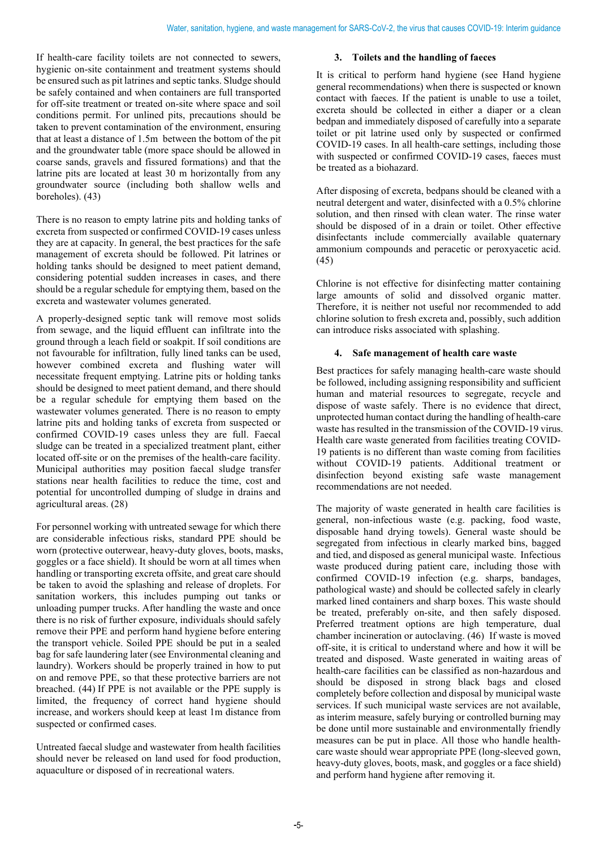If health-care facility toilets are not connected to sewers, hygienic on-site containment and treatment systems should be ensured such as pit latrines and septic tanks. Sludge should be safely contained and when containers are full transported for off-site treatment or treated on-site where space and soil conditions permit. For unlined pits, precautions should be taken to prevent contamination of the environment, ensuring that at least a distance of 1.5m between the bottom of the pit and the groundwater table (more space should be allowed in coarse sands, gravels and fissured formations) and that the latrine pits are located at least 30 m horizontally from any groundwater source (including both shallow wells and boreholes). (43)

There is no reason to empty latrine pits and holding tanks of excreta from suspected or confirmed COVID-19 cases unless they are at capacity. In general, the best practices for the safe management of excreta should be followed. Pit latrines or holding tanks should be designed to meet patient demand, considering potential sudden increases in cases, and there should be a regular schedule for emptying them, based on the excreta and wastewater volumes generated.

A properly-designed septic tank will remove most solids from sewage, and the liquid effluent can infiltrate into the ground through a leach field or soakpit. If soil conditions are not favourable for infiltration, fully lined tanks can be used, however combined excreta and flushing water will necessitate frequent emptying. Latrine pits or holding tanks should be designed to meet patient demand, and there should be a regular schedule for emptying them based on the wastewater volumes generated. There is no reason to empty latrine pits and holding tanks of excreta from suspected or confirmed COVID-19 cases unless they are full. Faecal sludge can be treated in a specialized treatment plant, either located off-site or on the premises of the health-care facility. Municipal authorities may position faecal sludge transfer stations near health facilities to reduce the time, cost and potential for uncontrolled dumping of sludge in drains and agricultural areas. (28)

For personnel working with untreated sewage for which there are considerable infectious risks, standard PPE should be worn (protective outerwear, heavy-duty gloves, boots, masks, goggles or a face shield). It should be worn at all times when handling or transporting excreta offsite, and great care should be taken to avoid the splashing and release of droplets. For sanitation workers, this includes pumping out tanks or unloading pumper trucks. After handling the waste and once there is no risk of further exposure, individuals should safely remove their PPE and perform hand hygiene before entering the transport vehicle. Soiled PPE should be put in a sealed bag for safe laundering later (see Environmental cleaning and laundry). Workers should be properly trained in how to put on and remove PPE, so that these protective barriers are not breached. (44) If PPE is not available or the PPE supply is limited, the frequency of correct hand hygiene should increase, and workers should keep at least 1m distance from suspected or confirmed cases.

Untreated faecal sludge and wastewater from health facilities should never be released on land used for food production, aquaculture or disposed of in recreational waters.

#### **3. Toilets and the handling of faeces**

It is critical to perform hand hygiene (see Hand hygiene general recommendations) when there is suspected or known contact with faeces. If the patient is unable to use a toilet, excreta should be collected in either a diaper or a clean bedpan and immediately disposed of carefully into a separate toilet or pit latrine used only by suspected or confirmed COVID-19 cases. In all health-care settings, including those with suspected or confirmed COVID-19 cases, faeces must be treated as a biohazard.

After disposing of excreta, bedpans should be cleaned with a neutral detergent and water, disinfected with a 0.5% chlorine solution, and then rinsed with clean water. The rinse water should be disposed of in a drain or toilet. Other effective disinfectants include commercially available quaternary ammonium compounds and peracetic or peroxyacetic acid. (45)

Chlorine is not effective for disinfecting matter containing large amounts of solid and dissolved organic matter. Therefore, it is neither not useful nor recommended to add chlorine solution to fresh excreta and, possibly, such addition can introduce risks associated with splashing.

#### **4. Safe management of health care waste**

Best practices for safely managing health-care waste should be followed, including assigning responsibility and sufficient human and material resources to segregate, recycle and dispose of waste safely. There is no evidence that direct, unprotected human contact during the handling of health-care waste has resulted in the transmission of the COVID-19 virus. Health care waste generated from facilities treating COVID-19 patients is no different than waste coming from facilities without COVID-19 patients. Additional treatment or disinfection beyond existing safe waste management recommendations are not needed.

The majority of waste generated in health care facilities is general, non-infectious waste (e.g. packing, food waste, disposable hand drying towels). General waste should be segregated from infectious in clearly marked bins, bagged and tied, and disposed as general municipal waste. Infectious waste produced during patient care, including those with confirmed COVID-19 infection (e.g. sharps, bandages, pathological waste) and should be collected safely in clearly marked lined containers and sharp boxes. This waste should be treated, preferably on-site, and then safely disposed. Preferred treatment options are high temperature, dual chamber incineration or autoclaving. (46) If waste is moved off-site, it is critical to understand where and how it will be treated and disposed. Waste generated in waiting areas of health-care facilities can be classified as non-hazardous and should be disposed in strong black bags and closed completely before collection and disposal by municipal waste services. If such municipal waste services are not available, as interim measure, safely burying or controlled burning may be done until more sustainable and environmentally friendly measures can be put in place. All those who handle healthcare waste should wear appropriate PPE (long-sleeved gown, heavy-duty gloves, boots, mask, and goggles or a face shield) and perform hand hygiene after removing it.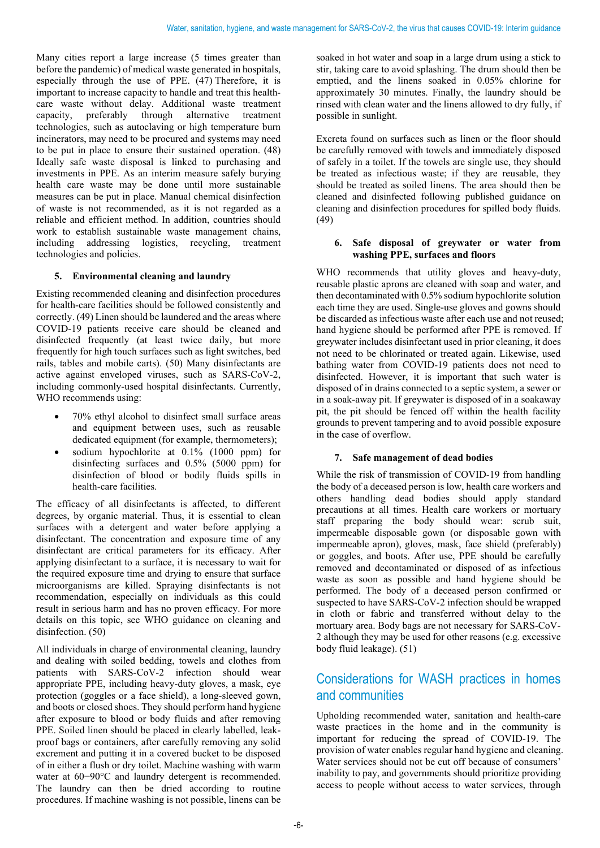Many cities report a large increase (5 times greater than before the pandemic) of medical waste generated in hospitals, especially through the use of PPE. (47) Therefore, it is important to increase capacity to handle and treat this healthcare waste without delay. Additional waste treatment capacity, preferably through alternative treatment capacity, preferably through alternative treatment technologies, such as autoclaving or high temperature burn incinerators, may need to be procured and systems may need to be put in place to ensure their sustained operation. (48) Ideally safe waste disposal is linked to purchasing and investments in PPE. As an interim measure safely burying health care waste may be done until more sustainable measures can be put in place. Manual chemical disinfection of waste is not recommended, as it is not regarded as a reliable and efficient method. In addition, countries should work to establish sustainable waste management chains, including addressing logistics, recycling, treatment technologies and policies.

# **5. Environmental cleaning and laundry**

Existing recommended cleaning and disinfection procedures for health-care facilities should be followed consistently and correctly. (49) Linen should be laundered and the areas where COVID-19 patients receive care should be cleaned and disinfected frequently (at least twice daily, but more frequently for high touch surfaces such as light switches, bed rails, tables and mobile carts). (50) Many disinfectants are active against enveloped viruses, such as SARS-CoV-2, including commonly-used hospital disinfectants. Currently, WHO recommends using:

- 70% ethyl alcohol to disinfect small surface areas and equipment between uses, such as reusable dedicated equipment (for example, thermometers);
- sodium hypochlorite at 0.1% (1000 ppm) for disinfecting surfaces and 0.5% (5000 ppm) for disinfection of blood or bodily fluids spills in health-care facilities.

The efficacy of all disinfectants is affected, to different degrees, by organic material. Thus, it is essential to clean surfaces with a detergent and water before applying a disinfectant. The concentration and exposure time of any disinfectant are critical parameters for its efficacy. After applying disinfectant to a surface, it is necessary to wait for the required exposure time and drying to ensure that surface microorganisms are killed. Spraying disinfectants is not recommendation, especially on individuals as this could result in serious harm and has no proven efficacy. For more details on this topic, see WHO guidance on cleaning and disinfection. (50)

All individuals in charge of environmental cleaning, laundry and dealing with soiled bedding, towels and clothes from patients with SARS-CoV-2 infection should wear appropriate PPE, including heavy-duty gloves, a mask, eye protection (goggles or a face shield), a long-sleeved gown, and boots or closed shoes. They should perform hand hygiene after exposure to blood or body fluids and after removing PPE. Soiled linen should be placed in clearly labelled, leakproof bags or containers, after carefully removing any solid excrement and putting it in a covered bucket to be disposed of in either a flush or dry toilet. Machine washing with warm water at 60−90°C and laundry detergent is recommended. The laundry can then be dried according to routine procedures. If machine washing is not possible, linens can be

soaked in hot water and soap in a large drum using a stick to stir, taking care to avoid splashing. The drum should then be emptied, and the linens soaked in 0.05% chlorine for approximately 30 minutes. Finally, the laundry should be rinsed with clean water and the linens allowed to dry fully, if possible in sunlight.

Excreta found on surfaces such as linen or the floor should be carefully removed with towels and immediately disposed of safely in a toilet. If the towels are single use, they should be treated as infectious waste; if they are reusable, they should be treated as soiled linens. The area should then be cleaned and disinfected following published guidance on cleaning and disinfection procedures for spilled body fluids. (49)

#### **6. Safe disposal of greywater or water from washing PPE, surfaces and floors**

WHO recommends that utility gloves and heavy-duty, reusable plastic aprons are cleaned with soap and water, and then decontaminated with 0.5% sodium hypochlorite solution each time they are used. Single-use gloves and gowns should be discarded as infectious waste after each use and not reused; hand hygiene should be performed after PPE is removed. If greywater includes disinfectant used in prior cleaning, it does not need to be chlorinated or treated again. Likewise, used bathing water from COVID-19 patients does not need to disinfected. However, it is important that such water is disposed of in drains connected to a septic system, a sewer or in a soak-away pit. If greywater is disposed of in a soakaway pit, the pit should be fenced off within the health facility grounds to prevent tampering and to avoid possible exposure in the case of overflow.

#### **7. Safe management of dead bodies**

While the risk of transmission of COVID-19 from handling the body of a deceased person is low, health care workers and others handling dead bodies should apply standard precautions at all times. Health care workers or mortuary staff preparing the body should wear: scrub suit, impermeable disposable gown (or disposable gown with impermeable apron), gloves, mask, face shield (preferably) or goggles, and boots. After use, PPE should be carefully removed and decontaminated or disposed of as infectious waste as soon as possible and hand hygiene should be performed. The body of a deceased person confirmed or suspected to have SARS-CoV-2 infection should be wrapped in cloth or fabric and transferred without delay to the mortuary area. Body bags are not necessary for SARS-CoV-2 although they may be used for other reasons (e.g. excessive body fluid leakage). (51)

# Considerations for WASH practices in homes and communities

Upholding recommended water, sanitation and health-care waste practices in the home and in the community is important for reducing the spread of COVID-19. The provision of water enables regular hand hygiene and cleaning. Water services should not be cut off because of consumers' inability to pay, and governments should prioritize providing access to people without access to water services, through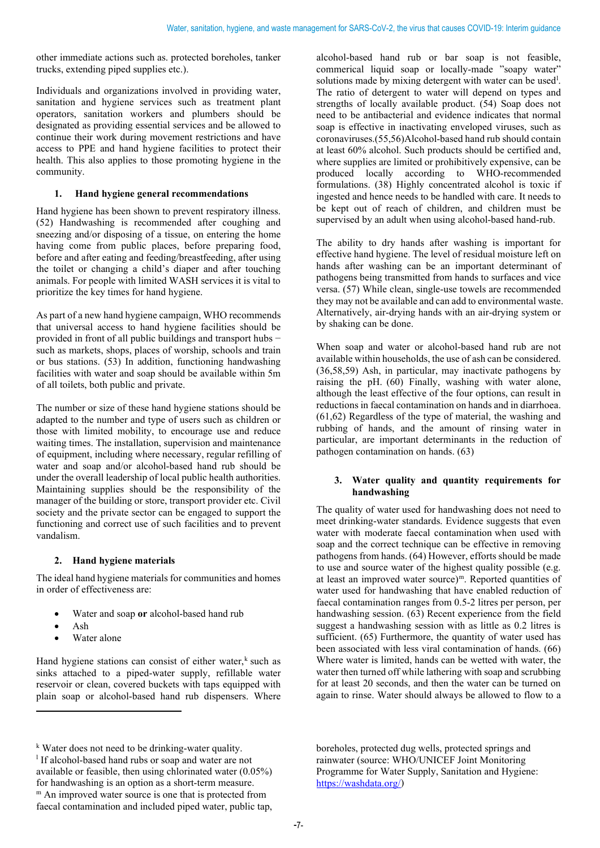other immediate actions such as. protected boreholes, tanker trucks, extending piped supplies etc.).

Individuals and organizations involved in providing water, sanitation and hygiene services such as treatment plant operators, sanitation workers and plumbers should be designated as providing essential services and be allowed to continue their work during movement restrictions and have access to PPE and hand hygiene facilities to protect their health. This also applies to those promoting hygiene in the community.

## **1. Hand hygiene general recommendations**

Hand hygiene has been shown to prevent respiratory illness. (52) Handwashing is recommended after coughing and sneezing and/or disposing of a tissue, on entering the home having come from public places, before preparing food, before and after eating and feeding/breastfeeding, after using the toilet or changing a child's diaper and after touching animals. For people with limited WASH services it is vital to prioritize the key times for hand hygiene.

As part of a new hand hygiene campaign, WHO recommends that universal access to hand hygiene facilities should be provided in front of all public buildings and transport hubs − such as markets, shops, places of worship, schools and train or bus stations. (53) In addition, functioning handwashing facilities with water and soap should be available within 5m of all toilets, both public and private.

The number or size of these hand hygiene stations should be adapted to the number and type of users such as children or those with limited mobility, to encourage use and reduce waiting times. The installation, supervision and maintenance of equipment, including where necessary, regular refilling of water and soap and/or alcohol-based hand rub should be under the overall leadership of local public health authorities. Maintaining supplies should be the responsibility of the manager of the building or store, transport provider etc. Civil society and the private sector can be engaged to support the functioning and correct use of such facilities and to prevent vandalism.

#### **2. Hand hygiene materials**

The ideal hand hygiene materials for communities and homes in order of effectiveness are:

- Water and soap **or** alcohol-based hand rub
- Ash
- Water alone

Hand hygiene stations can consist of either water,<sup>[k](#page-6-0)</sup> such as sinks attached to a piped-water supply, refillable water reservoir or clean, covered buckets with taps equipped with plain soap or alcohol-based hand rub dispensers. Where

alcohol-based hand rub or bar soap is not feasible, commerical liquid soap or locally-made "soapy water" so[l](#page-6-1)utions made by mixing detergent with water can be used<sup>1</sup>. The ratio of detergent to water will depend on types and strengths of locally available product. (54) Soap does not need to be antibacterial and evidence indicates that normal soap is effective in inactivating enveloped viruses, such as coronaviruses.(55,56)Alcohol-based hand rub should contain at least 60% alcohol. Such products should be certified and, where supplies are limited or prohibitively expensive, can be produced locally according to WHO-recommended formulations. (38) Highly concentrated alcohol is toxic if ingested and hence needs to be handled with care. It needs to be kept out of reach of children, and children must be supervised by an adult when using alcohol-based hand-rub.

The ability to dry hands after washing is important for effective hand hygiene. The level of residual moisture left on hands after washing can be an important determinant of pathogens being transmitted from hands to surfaces and vice versa. (57) While clean, single-use towels are recommended they may not be available and can add to environmental waste. Alternatively, air-drying hands with an air-drying system or by shaking can be done.

When soap and water or alcohol-based hand rub are not available within households, the use of ash can be considered. (36,58,59) Ash, in particular, may inactivate pathogens by raising the pH. (60) Finally, washing with water alone, although the least effective of the four options, can result in reductions in faecal contamination on hands and in diarrhoea. (61,62) Regardless of the type of material, the washing and rubbing of hands, and the amount of rinsing water in particular, are important determinants in the reduction of pathogen contamination on hands. (63)

#### **3. Water quality and quantity requirements for handwashing**

The quality of water used for handwashing does not need to meet drinking-water standards. Evidence suggests that even water with moderate faecal contamination when used with soap and the correct technique can be effective in removing pathogens from hands. (64) However, efforts should be made to use and source water of the highest quality possible (e.g. at least an improved water source)<sup>m</sup>. Reported quantities of water used for handwashing that have enabled reduction of faecal contamination ranges from 0.5-2 litres per person, per handwashing session. (63) Recent experience from the field suggest a handwashing session with as little as 0.2 litres is sufficient. (65) Furthermore, the quantity of water used has been associated with less viral contamination of hands. (66) Where water is limited, hands can be wetted with water, the water then turned off while lathering with soap and scrubbing for at least 20 seconds, and then the water can be turned on again to rinse. Water should always be allowed to flow to a

<span id="page-6-2"></span><span id="page-6-1"></span><sup>1</sup> If alcohol-based hand rubs or soap and water are not available or feasible, then using chlorinated water (0.05%) for handwashing is an option as a short-term measure. <sup>m</sup> An improved water source is one that is protected from faecal contamination and included piped water, public tap,

boreholes, protected dug wells, protected springs and rainwater (source: WHO/UNICEF Joint Monitoring Programme for Water Supply, Sanitation and Hygiene: [https://washdata.org/\)](https://washdata.org/)

<span id="page-6-0"></span><sup>k</sup> Water does not need to be drinking-water quality.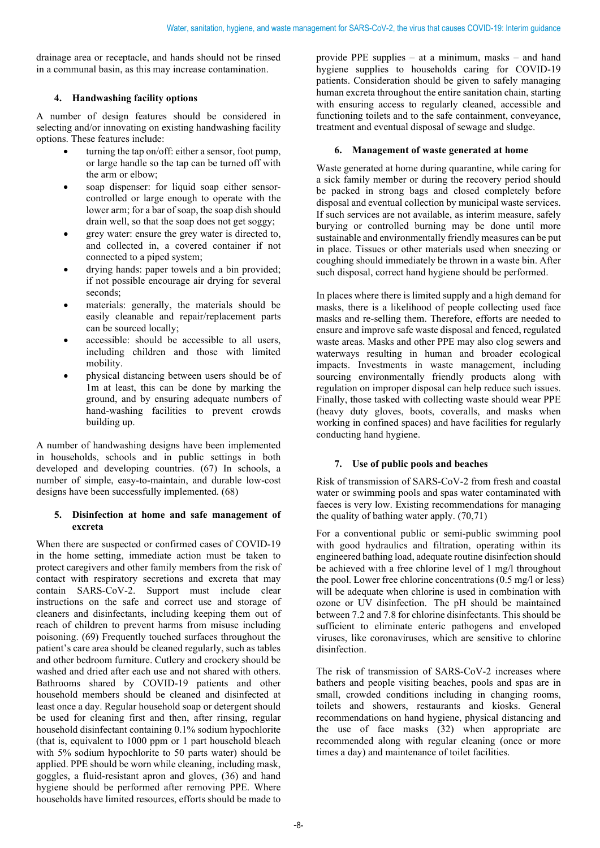drainage area or receptacle, and hands should not be rinsed in a communal basin, as this may increase contamination.

# **4. Handwashing facility options**

A number of design features should be considered in selecting and/or innovating on existing handwashing facility options. These features include:

- turning the tap on/off: either a sensor, foot pump, or large handle so the tap can be turned off with the arm or elbow;
- soap dispenser: for liquid soap either sensorcontrolled or large enough to operate with the lower arm; for a bar of soap, the soap dish should drain well, so that the soap does not get soggy;
- grey water: ensure the grey water is directed to, and collected in, a covered container if not connected to a piped system;
- drying hands: paper towels and a bin provided; if not possible encourage air drying for several seconds;
- materials: generally, the materials should be easily cleanable and repair/replacement parts can be sourced locally;
- accessible: should be accessible to all users, including children and those with limited mobility.
- physical distancing between users should be of 1m at least, this can be done by marking the ground, and by ensuring adequate numbers of hand-washing facilities to prevent crowds building up.

A number of handwashing designs have been implemented in households, schools and in public settings in both developed and developing countries. (67) In schools, a number of simple, easy-to-maintain, and durable low-cost designs have been successfully implemented. (68)

#### **5. Disinfection at home and safe management of excreta**

When there are suspected or confirmed cases of COVID-19 in the home setting, immediate action must be taken to protect caregivers and other family members from the risk of contact with respiratory secretions and excreta that may contain SARS-CoV-2. Support must include clear instructions on the safe and correct use and storage of cleaners and disinfectants, including keeping them out of reach of children to prevent harms from misuse including poisoning. (69) Frequently touched surfaces throughout the patient's care area should be cleaned regularly, such as tables and other bedroom furniture. Cutlery and crockery should be washed and dried after each use and not shared with others. Bathrooms shared by COVID-19 patients and other household members should be cleaned and disinfected at least once a day. Regular household soap or detergent should be used for cleaning first and then, after rinsing, regular household disinfectant containing 0.1% sodium hypochlorite (that is, equivalent to 1000 ppm or 1 part household bleach with 5% sodium hypochlorite to 50 parts water) should be applied. PPE should be worn while cleaning, including mask, goggles, a fluid-resistant apron and gloves, (36) and hand hygiene should be performed after removing PPE. Where households have limited resources, efforts should be made to

provide PPE supplies – at a minimum, masks – and hand hygiene supplies to households caring for COVID-19 patients. Consideration should be given to safely managing human excreta throughout the entire sanitation chain, starting with ensuring access to regularly cleaned, accessible and functioning toilets and to the safe containment, conveyance, treatment and eventual disposal of sewage and sludge.

# **6. Management of waste generated at home**

Waste generated at home during quarantine, while caring for a sick family member or during the recovery period should be packed in strong bags and closed completely before disposal and eventual collection by municipal waste services. If such services are not available, as interim measure, safely burying or controlled burning may be done until more sustainable and environmentally friendly measures can be put in place. Tissues or other materials used when sneezing or coughing should immediately be thrown in a waste bin. After such disposal, correct hand hygiene should be performed.

In places where there is limited supply and a high demand for masks, there is a likelihood of people collecting used face masks and re-selling them. Therefore, efforts are needed to ensure and improve safe waste disposal and fenced, regulated waste areas. Masks and other PPE may also clog sewers and waterways resulting in human and broader ecological impacts. Investments in waste management, including sourcing environmentally friendly products along with regulation on improper disposal can help reduce such issues. Finally, those tasked with collecting waste should wear PPE (heavy duty gloves, boots, coveralls, and masks when working in confined spaces) and have facilities for regularly conducting hand hygiene.

# **7. Use of public pools and beaches**

Risk of transmission of SARS-CoV-2 from fresh and coastal water or swimming pools and spas water contaminated with faeces is very low. Existing recommendations for managing the quality of bathing water apply. (70,71)

For a conventional public or semi-public swimming pool with good hydraulics and filtration, operating within its engineered bathing load, adequate routine disinfection should be achieved with a free chlorine level of 1 mg/l throughout the pool. Lower free chlorine concentrations (0.5 mg/l or less) will be adequate when chlorine is used in combination with ozone or UV disinfection. The pH should be maintained between 7.2 and 7.8 for chlorine disinfectants. This should be sufficient to eliminate enteric pathogens and enveloped viruses, like coronaviruses, which are sensitive to chlorine disinfection.

The risk of transmission of SARS-CoV-2 increases where bathers and people visiting beaches, pools and spas are in small, crowded conditions including in changing rooms, toilets and showers, restaurants and kiosks. General recommendations on hand hygiene, physical distancing and the use of face masks (32) when appropriate are recommended along with regular cleaning (once or more times a day) and maintenance of toilet facilities.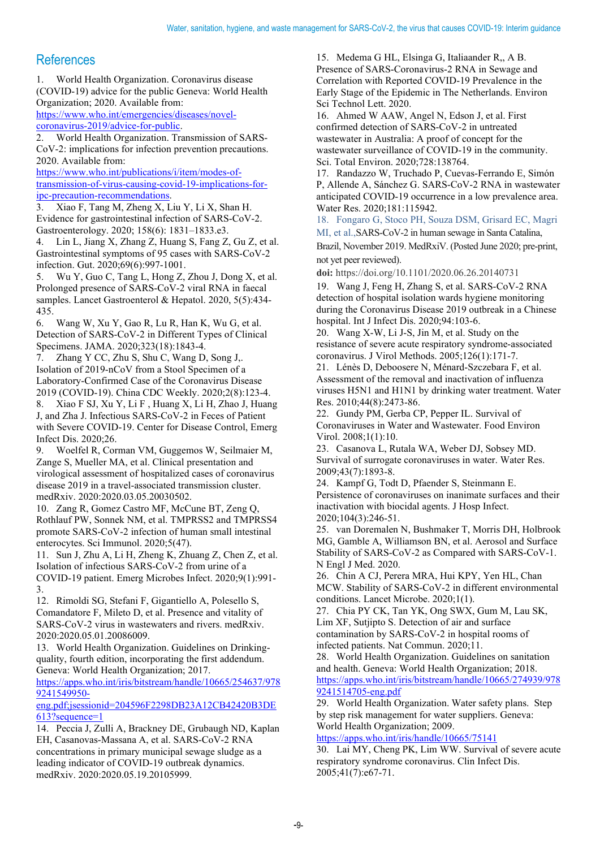# **References**

1. World Health Organization. Coronavirus disease (COVID-19) advice for the public Geneva: World Health Organization; 2020. Available from:

[https://www.who.int/emergencies/diseases/novel](https://www.who.int/emergencies/diseases/novel-coronavirus-2019/advice-for-public)[coronavirus-2019/advice-for-public.](https://www.who.int/emergencies/diseases/novel-coronavirus-2019/advice-for-public)

2. World Health Organization. Transmission of SARS-CoV-2: implications for infection prevention precautions. 2020. Available from:

[https://www.who.int/publications/i/item/modes-of](https://www.who.int/publications/i/item/modes-of-transmission-of-virus-causing-covid-19-implications-for-ipc-precaution-recommendations)[transmission-of-virus-causing-covid-19-implications-for](https://www.who.int/publications/i/item/modes-of-transmission-of-virus-causing-covid-19-implications-for-ipc-precaution-recommendations)[ipc-precaution-recommendations.](https://www.who.int/publications/i/item/modes-of-transmission-of-virus-causing-covid-19-implications-for-ipc-precaution-recommendations)

3. Xiao F, Tang M, Zheng X, Liu Y, Li X, Shan H. Evidence for gastrointestinal infection of SARS-CoV-2. Gastroenterology. 2020; 158(6): 1831–1833.e3.

4. Lin L, Jiang X, Zhang Z, Huang S, Fang Z, Gu Z, et al. Gastrointestinal symptoms of 95 cases with SARS-CoV-2 infection. Gut. 2020;69(6):997-1001.

5. Wu Y, Guo C, Tang L, Hong Z, Zhou J, Dong X, et al. Prolonged presence of SARS-CoV-2 viral RNA in faecal samples. Lancet Gastroenterol & Hepatol. 2020, 5(5):434- 435.

6. Wang W, Xu Y, Gao R, Lu R, Han K, Wu G, et al. Detection of SARS-CoV-2 in Different Types of Clinical Specimens. JAMA. 2020;323(18):1843-4.

7. Zhang Y CC, Zhu S, Shu C, Wang D, Song J,. Isolation of 2019-nCoV from a Stool Specimen of a Laboratory-Confirmed Case of the Coronavirus Disease 2019 (COVID-19). China CDC Weekly. 2020;2(8):123-4.

8. Xiao F SJ, Xu Y, Li F , Huang X, Li H, Zhao J, Huang J, and Zha J. Infectious SARS-CoV-2 in Feces of Patient with Severe COVID-19. Center for Disease Control, Emerg Infect Dis. 2020;26.

9. Woelfel R, Corman VM, Guggemos W, Seilmaier M, Zange S, Mueller MA, et al. Clinical presentation and virological assessment of hospitalized cases of coronavirus disease 2019 in a travel-associated transmission cluster. medRxiv. 2020:2020.03.05.20030502.

10. Zang R, Gomez Castro MF, McCune BT, Zeng Q, Rothlauf PW, Sonnek NM, et al. TMPRSS2 and TMPRSS4 promote SARS-CoV-2 infection of human small intestinal enterocytes. Sci Immunol. 2020;5(47).

11. Sun J, Zhu A, Li H, Zheng K, Zhuang Z, Chen Z, et al. Isolation of infectious SARS-CoV-2 from urine of a COVID-19 patient. Emerg Microbes Infect. 2020;9(1):991- 3.

12. Rimoldi SG, Stefani F, Gigantiello A, Polesello S, Comandatore F, Mileto D, et al. Presence and vitality of SARS-CoV-2 virus in wastewaters and rivers. medRxiv. 2020:2020.05.01.20086009.

13. World Health Organization. Guidelines on Drinkingquality, fourth edition, incorporating the first addendum. Geneva: World Health Organization; 2017.

[https://apps.who.int/iris/bitstream/handle/10665/254637/978](https://apps.who.int/iris/bitstream/handle/10665/254637/9789241549950-eng.pdf;jsessionid=204596F2298DB23A12CB42420B3DE613?sequence=1) [9241549950-](https://apps.who.int/iris/bitstream/handle/10665/254637/9789241549950-eng.pdf;jsessionid=204596F2298DB23A12CB42420B3DE613?sequence=1)

[eng.pdf;jsessionid=204596F2298DB23A12CB42420B3DE](https://apps.who.int/iris/bitstream/handle/10665/254637/9789241549950-eng.pdf;jsessionid=204596F2298DB23A12CB42420B3DE613?sequence=1) [613?sequence=1](https://apps.who.int/iris/bitstream/handle/10665/254637/9789241549950-eng.pdf;jsessionid=204596F2298DB23A12CB42420B3DE613?sequence=1)

14. Peccia J, Zulli A, Brackney DE, Grubaugh ND, Kaplan EH, Casanovas-Massana A, et al. SARS-CoV-2 RNA concentrations in primary municipal sewage sludge as a leading indicator of COVID-19 outbreak dynamics. medRxiv. 2020:2020.05.19.20105999.

15. Medema G HL, Elsinga G, Italiaander R,, A B. Presence of SARS-Coronavirus-2 RNA in Sewage and Correlation with Reported COVID-19 Prevalence in the Early Stage of the Epidemic in The Netherlands. Environ Sci Technol Lett. 2020.

16. Ahmed W AAW, Angel N, Edson J, et al. First confirmed detection of SARS-CoV-2 in untreated wastewater in Australia: A proof of concept for the wastewater surveillance of COVID-19 in the community. Sci. Total Environ. 2020;728:138764.

17. Randazzo W, Truchado P, Cuevas-Ferrando E, Simón P, Allende A, Sánchez G. SARS-CoV-2 RNA in wastewater anticipated COVID-19 occurrence in a low prevalence area. Water Res. 2020;181:115942.

18. Fongaro G, Stoco PH, Souza DSM, Grisard EC, Magri

MI, et al.,SARS-CoV-2 in human sewage in Santa Catalina, Brazil, November 2019. MedRxiV. (Posted June 2020; pre-print, not yet peer reviewed).

**doi:** https://doi.org/10.1101/2020.06.26.20140731

19. Wang J, Feng H, Zhang S, et al. SARS-CoV-2 RNA detection of hospital isolation wards hygiene monitoring during the Coronavirus Disease 2019 outbreak in a Chinese hospital. Int J Infect Dis. 2020;94:103-6.

20. Wang X-W, Li J-S, Jin M, et al. Study on the resistance of severe acute respiratory syndrome-associated coronavirus. J Virol Methods. 2005;126(1):171-7.

21. Lénès D, Deboosere N, Ménard-Szczebara F, et al. Assessment of the removal and inactivation of influenza viruses H5N1 and H1N1 by drinking water treatment. Water Res. 2010;44(8):2473-86.

22. Gundy PM, Gerba CP, Pepper IL. Survival of Coronaviruses in Water and Wastewater. Food Environ Virol. 2008;1(1):10.

23. Casanova L, Rutala WA, Weber DJ, Sobsey MD. Survival of surrogate coronaviruses in water. Water Res. 2009;43(7):1893-8.

24. Kampf G, Todt D, Pfaender S, Steinmann E. Persistence of coronaviruses on inanimate surfaces and their inactivation with biocidal agents. J Hosp Infect. 2020;104(3):246-51.

25. van Doremalen N, Bushmaker T, Morris DH, Holbrook MG, Gamble A, Williamson BN, et al. Aerosol and Surface Stability of SARS-CoV-2 as Compared with SARS-CoV-1. N Engl J Med. 2020.

26. Chin A CJ, Perera MRA, Hui KPY, Yen HL, Chan MCW. Stability of SARS-CoV-2 in different environmental conditions. Lancet Microbe. 2020;1(1).

27. Chia PY CK, Tan YK, Ong SWX, Gum M, Lau SK, Lim XF, Sutjipto S. Detection of air and surface contamination by SARS-CoV-2 in hospital rooms of infected patients. Nat Commun. 2020;11.

28. World Health Organization. Guidelines on sanitation and health. Geneva: World Health Organization; 2018. [https://apps.who.int/iris/bitstream/handle/10665/274939/978](https://apps.who.int/iris/bitstream/handle/10665/274939/9789241514705-eng.pdf) [9241514705-eng.pdf](https://apps.who.int/iris/bitstream/handle/10665/274939/9789241514705-eng.pdf)

29. World Health Organization. Water safety plans. Step by step risk management for water suppliers. Geneva: World Health Organization; 2009.

<https://apps.who.int/iris/handle/10665/75141>

30. Lai MY, Cheng PK, Lim WW. Survival of severe acute respiratory syndrome coronavirus. Clin Infect Dis. 2005;41(7):e67-71.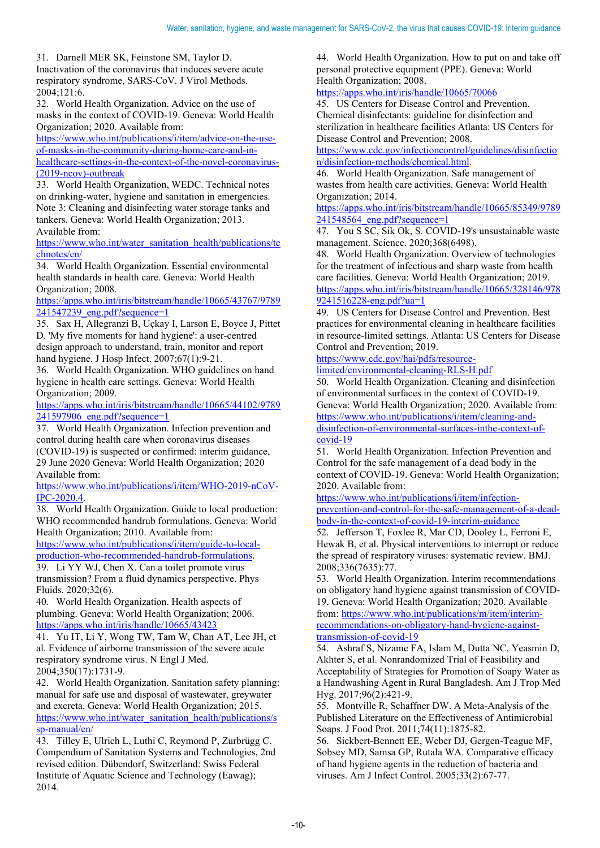31. Darnell MER SK, Feinstone SM, Taylor D.

Inactivation of the coronavirus that induces severe acute respiratory syndrome, SARS-CoV. J Virol Methods. 2004;121:6.

32. World Health Organization. Advice on the use of masks in the context of COVID-19. Geneva: World Health Organization; 2020. Available from:

[https://www.who.int/publications/i/item/advice-on-the-use](https://www.who.int/publications/i/item/advice-on-the-use-of-masks-in-the-community-during-home-care-and-in-healthcare-settings-in-the-context-of-the-novel-coronavirus-(2019-ncov)-outbreak)[of-masks-in-the-community-during-home-care-and-in](https://www.who.int/publications/i/item/advice-on-the-use-of-masks-in-the-community-during-home-care-and-in-healthcare-settings-in-the-context-of-the-novel-coronavirus-(2019-ncov)-outbreak)[healthcare-settings-in-the-context-of-the-novel-coronavirus-](https://www.who.int/publications/i/item/advice-on-the-use-of-masks-in-the-community-during-home-care-and-in-healthcare-settings-in-the-context-of-the-novel-coronavirus-(2019-ncov)-outbreak) [\(2019-ncov\)-outbreak](https://www.who.int/publications/i/item/advice-on-the-use-of-masks-in-the-community-during-home-care-and-in-healthcare-settings-in-the-context-of-the-novel-coronavirus-(2019-ncov)-outbreak)

33. World Health Organization, WEDC. Technical notes on drinking-water, hygiene and sanitation in emergencies. Note 3: Cleaning and disinfecting water storage tanks and tankers. Geneva: World Health Organization; 2013. Available from:

[https://www.who.int/water\\_sanitation\\_health/publications/te](https://www.who.int/water_sanitation_health/publications/technotes/en/) [chnotes/en/](https://www.who.int/water_sanitation_health/publications/technotes/en/)

34. World Health Organization. Essential environmental health standards in health care. Geneva: World Health Organization; 2008.

[https://apps.who.int/iris/bitstream/handle/10665/43767/9789](https://apps.who.int/iris/bitstream/handle/10665/43767/9789241547239_eng.pdf?sequence=1) [241547239\\_eng.pdf?sequence=1](https://apps.who.int/iris/bitstream/handle/10665/43767/9789241547239_eng.pdf?sequence=1)

35. Sax H, Allegranzi B, Uçkay I, Larson E, Boyce J, Pittet D. 'My five moments for hand hygiene': a user-centred design approach to understand, train, monitor and report hand hygiene. J Hosp Infect. 2007;67(1):9-21.

36. World Health Organization. WHO guidelines on hand hygiene in health care settings. Geneva: World Health Organization; 2009.

[https://apps.who.int/iris/bitstream/handle/10665/44102/9789](https://apps.who.int/iris/bitstream/handle/10665/44102/9789241597906_eng.pdf?sequence=1) [241597906\\_eng.pdf?sequence=1](https://apps.who.int/iris/bitstream/handle/10665/44102/9789241597906_eng.pdf?sequence=1)

37. World Health Organization. Infection prevention and control during health care when coronavirus diseases (COVID-19) is suspected or confirmed: interim guidance, 29 June 2020 Geneva: World Health Organization; 2020 Available from:

[https://www.who.int/publications/i/item/WHO-2019-nCoV-](https://www.who.int/publications/i/item/WHO-2019-nCoV-IPC-2020.4)[IPC-2020.4.](https://www.who.int/publications/i/item/WHO-2019-nCoV-IPC-2020.4)

38. World Health Organization. Guide to local production: WHO recommended handrub formulations. Geneva: World Health Organization; 2010. Available from:

[https://www.who.int/publications/i/item/guide-to-local](https://www.who.int/publications/i/item/guide-to-local-production-who-recommended-handrub-formulations)[production-who-recommended-handrub-formulations.](https://www.who.int/publications/i/item/guide-to-local-production-who-recommended-handrub-formulations) 

39. Li YY WJ, Chen X. Can a toilet promote virus transmission? From a fluid dynamics perspective. Phys Fluids. 2020;32(6).

40. World Health Organization. Health aspects of plumbing. Geneva: World Health Organization; 2006. <https://apps.who.int/iris/handle/10665/43423>

41. Yu IT, Li Y, Wong TW, Tam W, Chan AT, Lee JH, et al. Evidence of airborne transmission of the severe acute respiratory syndrome virus. N Engl J Med. 2004;350(17):1731-9.

42. World Health Organization. Sanitation safety planning: manual for safe use and disposal of wastewater, greywater and excreta. Geneva: World Health Organization; 2015. [https://www.who.int/water\\_sanitation\\_health/publications/s](https://www.who.int/water_sanitation_health/publications/ssp-manual/en/) [sp-manual/en/](https://www.who.int/water_sanitation_health/publications/ssp-manual/en/)

43. Tilley E, Ulrich L, Luthi C, Reymond P, Zurbrügg C. Compendium of Sanitation Systems and Technologies, 2nd revised edition. Dübendorf, Switzerland: Swiss Federal Institute of Aquatic Science and Technology (Eawag); 2014.

44. World Health Organization. How to put on and take off personal protective equipment (PPE). Geneva: World Health Organization; 2008.

<https://apps.who.int/iris/handle/10665/70066>

45. US Centers for Disease Control and Prevention. Chemical disinfectants: guideline for disinfection and sterilization in healthcare facilities Atlanta: US Centers for Disease Control and Prevention; 2008.

[https://www.cdc.gov/infectioncontrol/guidelines/disinfectio](https://www.cdc.gov/infectioncontrol/guidelines/disinfection/disinfection-methods/chemical.html) [n/disinfection-methods/chemical.html.](https://www.cdc.gov/infectioncontrol/guidelines/disinfection/disinfection-methods/chemical.html)

46. World Health Organization. Safe management of wastes from health care activities. Geneva: World Health Organization; 2014.

[https://apps.who.int/iris/bitstream/handle/10665/85349/9789](https://apps.who.int/iris/bitstream/handle/10665/85349/9789241548564_eng.pdf?sequence=1) 241548564 eng.pdf?sequence=1

47. You S SC, Sik Ok, S. COVID-19's unsustainable waste management. Science. 2020;368(6498).

48. World Health Organization. Overview of technologies for the treatment of infectious and sharp waste from health care facilities. Geneva: World Health Organization; 2019. [https://apps.who.int/iris/bitstream/handle/10665/328146/978](https://apps.who.int/iris/bitstream/handle/10665/328146/9789241516228-eng.pdf?ua=1) [9241516228-eng.pdf?ua=1](https://apps.who.int/iris/bitstream/handle/10665/328146/9789241516228-eng.pdf?ua=1)

49. US Centers for Disease Control and Prevention. Best practices for environmental cleaning in healthcare facilities in resource-limited settings. Atlanta: US Centers for Disease Control and Prevention; 2019.

[https://www.cdc.gov/hai/pdfs/resource-](https://www.cdc.gov/hai/pdfs/resource-limited/environmental-cleaning-RLS-H.pdf)

[limited/environmental-cleaning-RLS-H.pdf](https://www.cdc.gov/hai/pdfs/resource-limited/environmental-cleaning-RLS-H.pdf)

50. World Health Organization. Cleaning and disinfection of environmental surfaces in the context of COVID-19. Geneva: World Health Organization; 2020. Available from: [https://www.who.int/publications/i/item/cleaning-and](https://www.who.int/publications/i/item/cleaning-and-disinfection-of-environmental-surfaces-inthe-context-of-covid-19)[disinfection-of-environmental-surfaces-inthe-context-of-](https://www.who.int/publications/i/item/cleaning-and-disinfection-of-environmental-surfaces-inthe-context-of-covid-19)

[covid-19](https://www.who.int/publications/i/item/cleaning-and-disinfection-of-environmental-surfaces-inthe-context-of-covid-19)

51. World Health Organization. Infection Prevention and Control for the safe management of a dead body in the context of COVID-19. Geneva: World Health Organization; 2020. Available from:

[https://www.who.int/publications/i/item/infection](https://www.who.int/publications/i/item/infection-prevention-and-control-for-the-safe-management-of-a-dead-body-in-the-context-of-covid-19-interim-guidance)[prevention-and-control-for-the-safe-management-of-a-dead](https://www.who.int/publications/i/item/infection-prevention-and-control-for-the-safe-management-of-a-dead-body-in-the-context-of-covid-19-interim-guidance)[body-in-the-context-of-covid-19-interim-guidance](https://www.who.int/publications/i/item/infection-prevention-and-control-for-the-safe-management-of-a-dead-body-in-the-context-of-covid-19-interim-guidance)

52. Jefferson T, Foxlee R, Mar CD, Dooley L, Ferroni E, Hewak B, et al. Physical interventions to interrupt or reduce the spread of respiratory viruses: systematic review. BMJ. 2008;336(7635):77.

53. World Health Organization. Interim recommendations on obligatory hand hygiene against transmission of COVID-19. Geneva: World Health Organization; 2020. Available from[: https://www.who.int/publications/m/item/interim](https://www.who.int/publications/m/item/interim-recommendations-on-obligatory-hand-hygiene-against-transmission-of-covid-19)[recommendations-on-obligatory-hand-hygiene-against](https://www.who.int/publications/m/item/interim-recommendations-on-obligatory-hand-hygiene-against-transmission-of-covid-19)[transmission-of-covid-19](https://www.who.int/publications/m/item/interim-recommendations-on-obligatory-hand-hygiene-against-transmission-of-covid-19)

54. Ashraf S, Nizame FA, Islam M, Dutta NC, Yeasmin D, Akhter S, et al. Nonrandomized Trial of Feasibility and Acceptability of Strategies for Promotion of Soapy Water as a Handwashing Agent in Rural Bangladesh. Am J Trop Med Hyg. 2017;96(2):421-9.

55. Montville R, Schaffner DW. A Meta-Analysis of the Published Literature on the Effectiveness of Antimicrobial Soaps. J Food Prot. 2011;74(11):1875-82.

56. Sickbert-Bennett EE, Weber DJ, Gergen-Teague MF, Sobsey MD, Samsa GP, Rutala WA. Comparative efficacy of hand hygiene agents in the reduction of bacteria and viruses. Am J Infect Control. 2005;33(2):67-77.